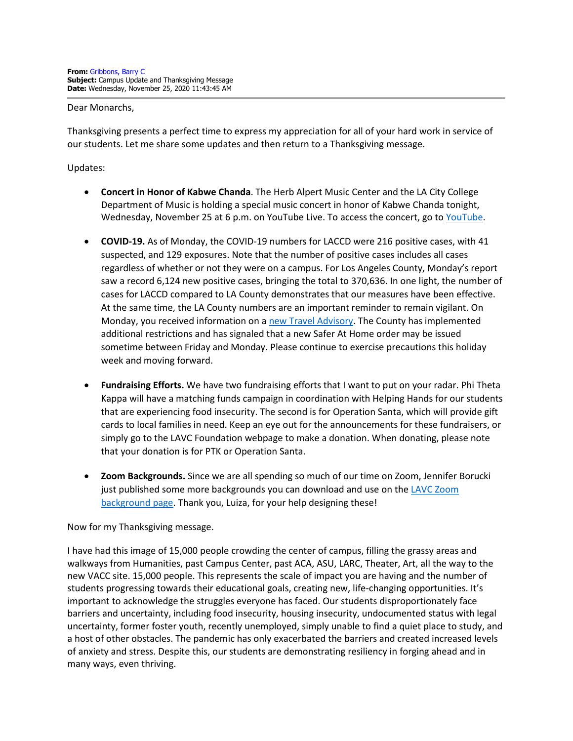## Dear Monarchs,

Thanksgiving presents a perfect time to express my appreciation for all of your hard work in service of our students. Let me share some updates and then return to a Thanksgiving message.

Updates:

- **Concert in Honor of Kabwe Chanda**. The Herb Alpert Music Center and the LA City College Department of Music is holding a special music concert in honor of Kabwe Chanda tonight, Wednesday, November 25 at 6 p.m. on YouTube Live. To access the concert, go to [YouTube.](https://youtu.be/saCGOAt-FbE)
- **COVID-19.** As of Monday, the COVID-19 numbers for LACCD were 216 positive cases, with 41 suspected, and 129 exposures. Note that the number of positive cases includes all cases regardless of whether or not they were on a campus. For Los Angeles County, Monday's report saw a record 6,124 new positive cases, bringing the total to 370,636. In one light, the number of cases for LACCD compared to LA County demonstrates that our measures have been effective. At the same time, the LA County numbers are an important reminder to remain vigilant. On Monday, you received information on a [new Travel Advisory.](https://www.laccd.edu/About/News/Documents/Safety-Advisories/Safety%20Advisory%20-%20Year-End%20Holiday%20Travel%20Sick%20Leave%20and%20Safety%20Awareness%20with%20HR%20Warning%20Memo.pdf) The County has implemented additional restrictions and has signaled that a new Safer At Home order may be issued sometime between Friday and Monday. Please continue to exercise precautions this holiday week and moving forward.
- **Fundraising Efforts.** We have two fundraising efforts that I want to put on your radar. Phi Theta Kappa will have a matching funds campaign in coordination with Helping Hands for our students that are experiencing food insecurity. The second is for Operation Santa, which will provide gift cards to local families in need. Keep an eye out for the announcements for these fundraisers, or simply go to the LAVC Foundation webpage to make a donation. When donating, please note that your donation is for PTK or Operation Santa.
- **Zoom Backgrounds.** Since we are all spending so much of our time on Zoom, Jennifer Borucki just published some more backgrounds you can download and use on the [LAVC Zoom](http://www.lavc.edu/PR/Zoom-Backgrounds.aspx)  [background page.](http://www.lavc.edu/PR/Zoom-Backgrounds.aspx) Thank you, Luiza, for your help designing these!

## Now for my Thanksgiving message.

I have had this image of 15,000 people crowding the center of campus, filling the grassy areas and walkways from Humanities, past Campus Center, past ACA, ASU, LARC, Theater, Art, all the way to the new VACC site. 15,000 people. This represents the scale of impact you are having and the number of students progressing towards their educational goals, creating new, life-changing opportunities. It's important to acknowledge the struggles everyone has faced. Our students disproportionately face barriers and uncertainty, including food insecurity, housing insecurity, undocumented status with legal uncertainty, former foster youth, recently unemployed, simply unable to find a quiet place to study, and a host of other obstacles. The pandemic has only exacerbated the barriers and created increased levels of anxiety and stress. Despite this, our students are demonstrating resiliency in forging ahead and in many ways, even thriving.